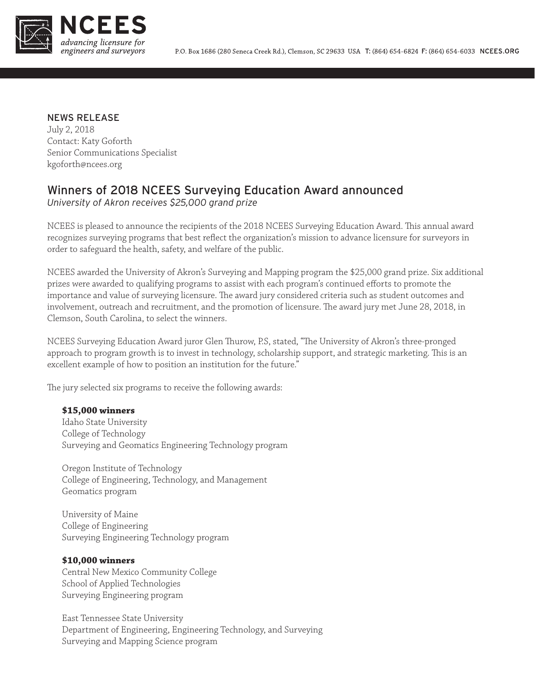

## NEWS RELEASE

July 2, 2018 Contact: Katy Goforth Senior Communications Specialist kgoforth@ncees.org

# Winners of 2018 NCEES Surveying Education Award announced

*University of Akron receives \$25,000 grand prize* 

NCEES is pleased to announce the recipients of the 2018 NCEES Surveying Education Award. This annual award recognizes surveying programs that best reflect the organization's mission to advance licensure for surveyors in order to safeguard the health, safety, and welfare of the public.

NCEES awarded the University of Akron's Surveying and Mapping program the \$25,000 grand prize. Six additional prizes were awarded to qualifying programs to assist with each program's continued efforts to promote the importance and value of surveying licensure. The award jury considered criteria such as student outcomes and involvement, outreach and recruitment, and the promotion of licensure. The award jury met June 28, 2018, in Clemson, South Carolina, to select the winners.

NCEES Surveying Education Award juror Glen Thurow, P.S, stated, "The University of Akron's three-pronged approach to program growth is to invest in technology, scholarship support, and strategic marketing. This is an excellent example of how to position an institution for the future."

The jury selected six programs to receive the following awards:

## **\$15,000 winners**

Idaho State University College of Technology Surveying and Geomatics Engineering Technology program

Oregon Institute of Technology College of Engineering, Technology, and Management Geomatics program

University of Maine College of Engineering Surveying Engineering Technology program

### **\$10,000 winners**

Central New Mexico Community College School of Applied Technologies Surveying Engineering program

East Tennessee State University Department of Engineering, Engineering Technology, and Surveying Surveying and Mapping Science program